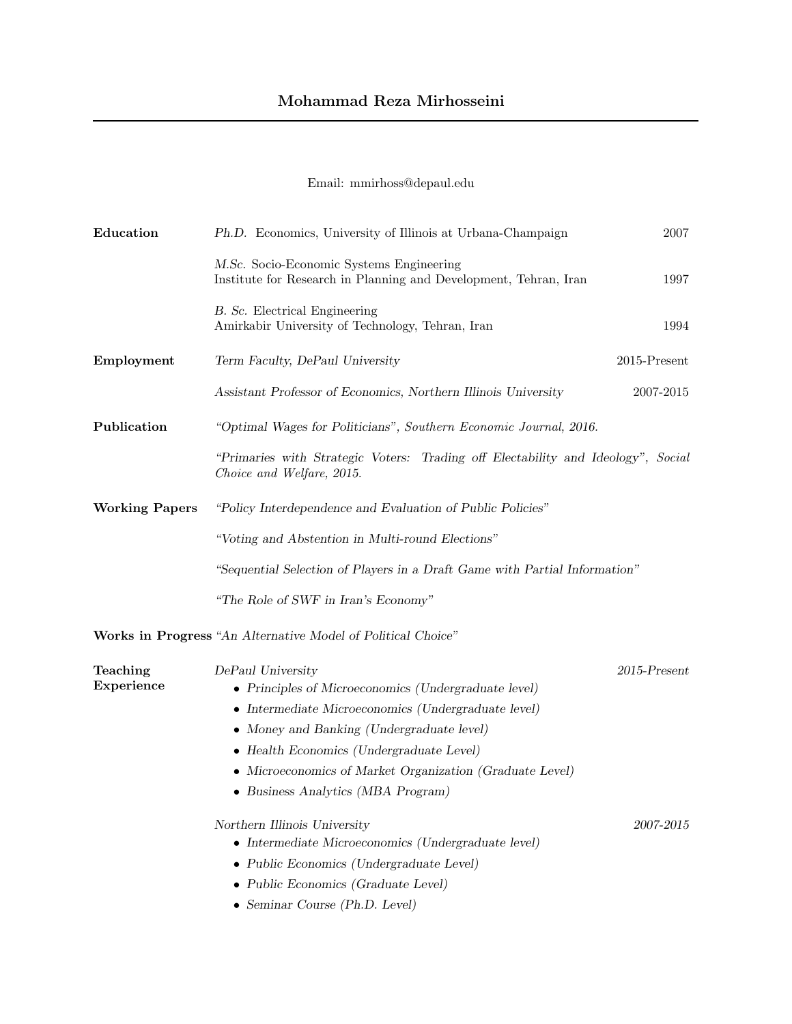## Mohammad Reza Mirhosseini

## Email: mmirhoss@depaul.edu

| Education              | Ph.D. Economics, University of Illinois at Urbana-Champaign                                                                                                                                                                                                                                                                 | 2007            |
|------------------------|-----------------------------------------------------------------------------------------------------------------------------------------------------------------------------------------------------------------------------------------------------------------------------------------------------------------------------|-----------------|
|                        | M.Sc. Socio-Economic Systems Engineering<br>Institute for Research in Planning and Development, Tehran, Iran                                                                                                                                                                                                                | 1997            |
|                        | B. Sc. Electrical Engineering<br>Amirkabir University of Technology, Tehran, Iran                                                                                                                                                                                                                                           | 1994            |
| Employment             | Term Faculty, DePaul University                                                                                                                                                                                                                                                                                             | $2015$ -Present |
|                        | Assistant Professor of Economics, Northern Illinois University                                                                                                                                                                                                                                                              | 2007-2015       |
| Publication            | "Optimal Wages for Politicians", Southern Economic Journal, 2016.                                                                                                                                                                                                                                                           |                 |
|                        | "Primaries with Strategic Voters: Trading off Electability and Ideology", Social<br>Choice and Welfare, 2015.                                                                                                                                                                                                               |                 |
| <b>Working Papers</b>  | "Policy Interdependence and Evaluation of Public Policies"                                                                                                                                                                                                                                                                  |                 |
|                        | "Voting and Abstention in Multi-round Elections"                                                                                                                                                                                                                                                                            |                 |
|                        | "Sequential Selection of Players in a Draft Game with Partial Information"                                                                                                                                                                                                                                                  |                 |
|                        | "The Role of SWF in Iran's Economy"                                                                                                                                                                                                                                                                                         |                 |
|                        | Works in Progress "An Alternative Model of Political Choice"                                                                                                                                                                                                                                                                |                 |
| Teaching<br>Experience | DePaul University<br>• Principles of Microeconomics (Undergraduate level)<br>• Intermediate Microeconomics (Undergraduate level)<br>• Money and Banking (Undergraduate level)<br>• Health Economics (Undergraduate Level)<br>• Microeconomics of Market Organization (Graduate Level)<br>• Business Analytics (MBA Program) | $2015$ -Present |
|                        | Northern Illinois University<br>• Intermediate Microeconomics (Undergraduate level)<br>• Public Economics (Undergraduate Level)<br>• Public Economics (Graduate Level)<br>$\bullet$ Seminar Course (Ph.D. Level)                                                                                                            | 2007-2015       |